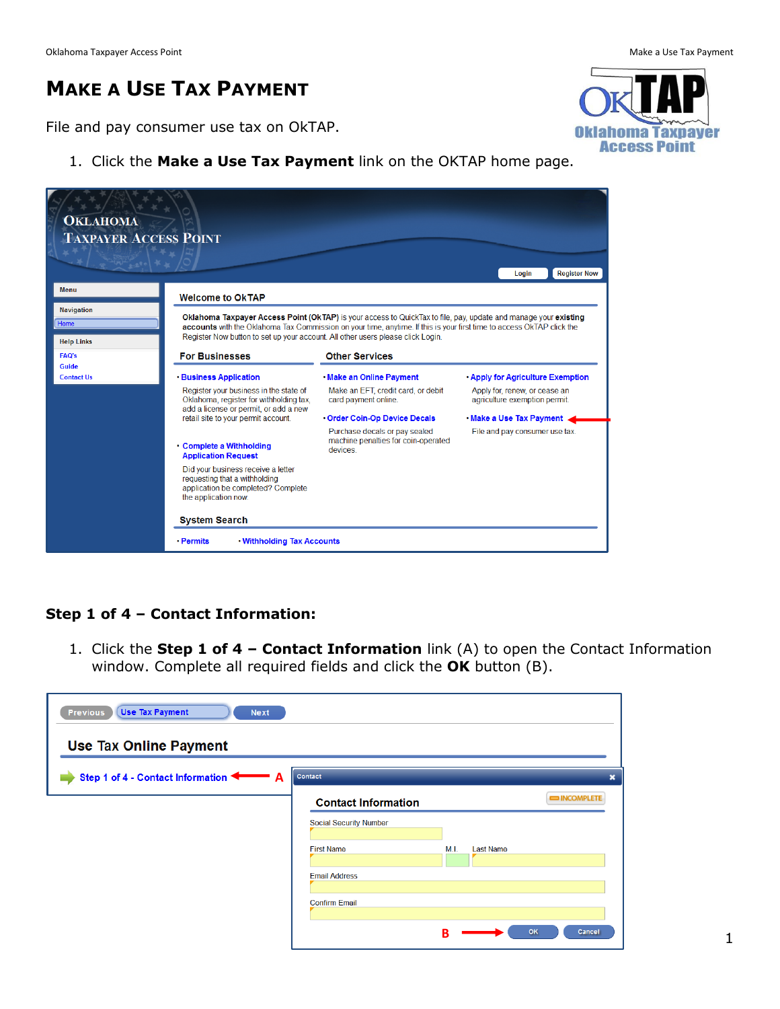# **MAKE A USE TAX PAYMENT**

File and pay consumer use tax on OkTAP.

1. Click the **Make a Use Tax Payment** link on the OKTAP home page.



#### **Step 1 of 4 – Contact Information:**

1. Click the **Step 1 of 4 – Contact Information** link (A) to open the Contact Information window. Complete all required fields and click the **OK** button (B).

| <b>Use Tax Payment</b><br>Previous<br><b>Next</b><br><b>Use Tax Online Payment</b> |                               |                          |                         |
|------------------------------------------------------------------------------------|-------------------------------|--------------------------|-------------------------|
| Step 1 of 4 - Contact Information                                                  | Contact                       |                          | $\overline{\mathbf{x}}$ |
|                                                                                    | <b>Contact Information</b>    |                          | <b>EXAMPLETE</b>        |
|                                                                                    | <b>Social Security Number</b> |                          |                         |
|                                                                                    | <b>First Name</b>             | M.I.<br><b>Last Name</b> |                         |
|                                                                                    | <b>Email Address</b>          |                          |                         |
|                                                                                    | <b>Confirm Email</b>          |                          |                         |
|                                                                                    |                               | OK<br>в                  | Cancel                  |

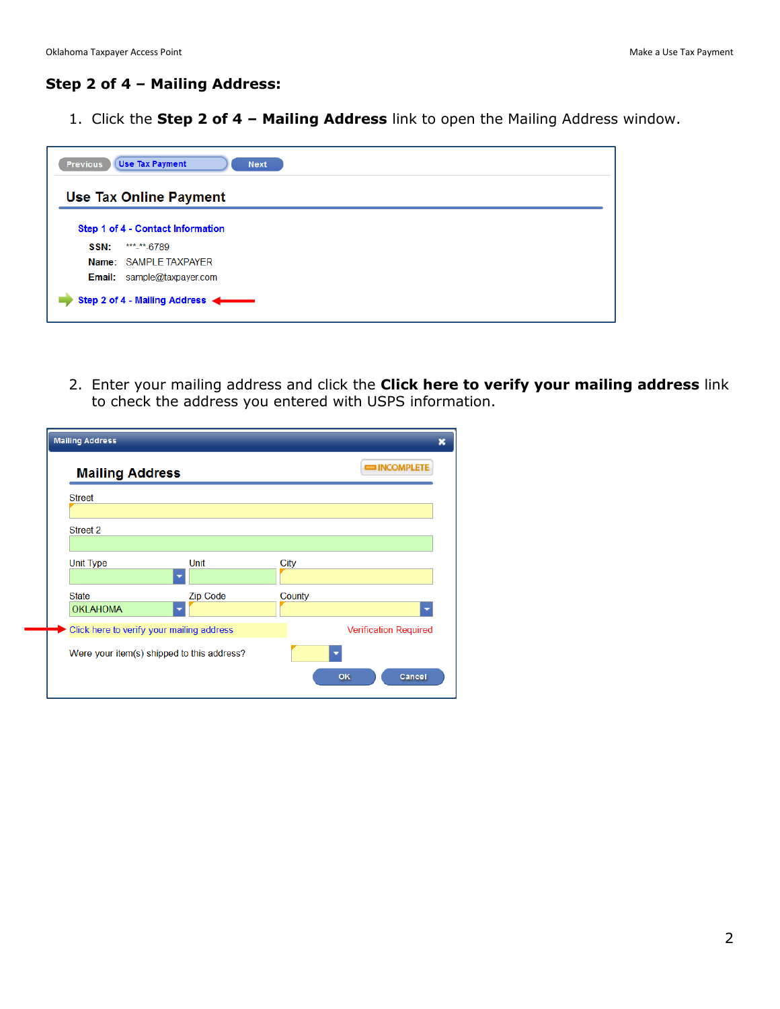#### **Step 2 of 4 – Mailing Address:**

1. Click the **Step 2 of 4 – Mailing Address** link to open the Mailing Address window.

| <b>Use Tax Payment</b><br><b>Previous</b><br><b>Next</b> |  |  |  |  |  |  |
|----------------------------------------------------------|--|--|--|--|--|--|
| <b>Use Tax Online Payment</b>                            |  |  |  |  |  |  |
| Step 1 of 4 - Contact Information                        |  |  |  |  |  |  |
| *** <sub>-</sub> **-6789<br>SSN:                         |  |  |  |  |  |  |
| Name: SAMPLE TAXPAYER                                    |  |  |  |  |  |  |
| <b>Email:</b> sample@taxpayer.com                        |  |  |  |  |  |  |
| Step 2 of 4 - Mailing Address                            |  |  |  |  |  |  |

2. Enter your mailing address and click the **Click here to verify your mailing address** link to check the address you entered with USPS information.

| Street 2                                  |                 |                              |
|-------------------------------------------|-----------------|------------------------------|
|                                           |                 |                              |
| <b>Unit Type</b>                          | Unit            | City                         |
|                                           |                 |                              |
| <b>State</b>                              | <b>Zip Code</b> | County                       |
| <b>OKLAHOMA</b>                           |                 |                              |
| Click here to verify your mailing address |                 | <b>Verification Required</b> |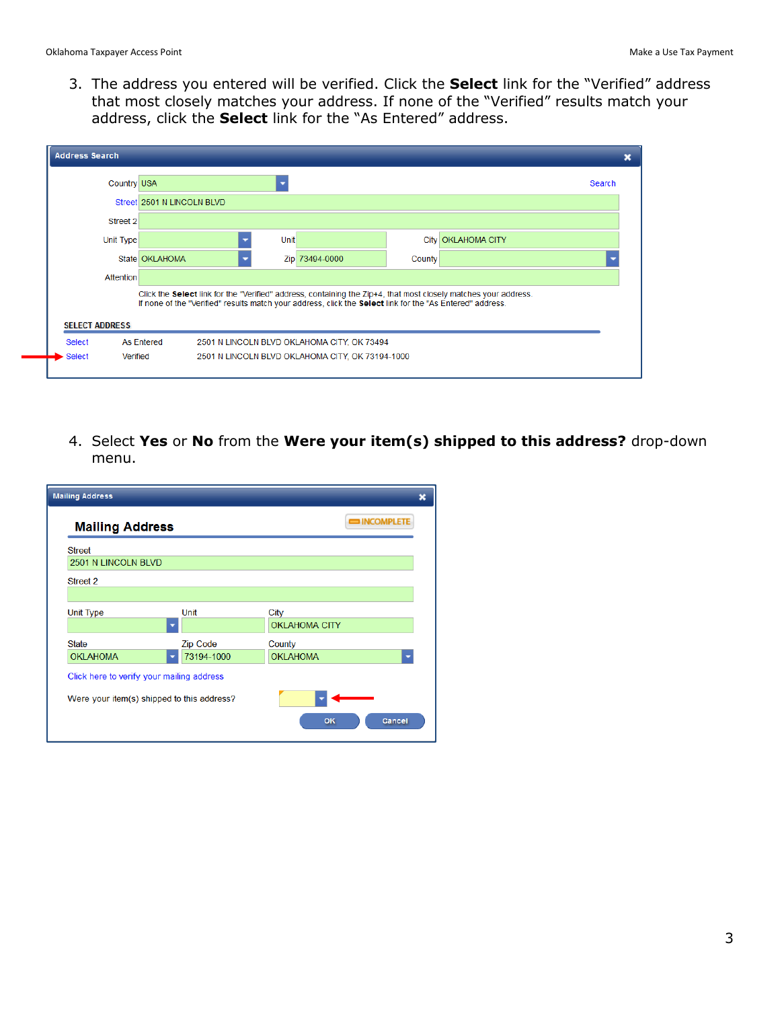3. The address you entered will be verified. Click the **Select** link for the "Verified" address that most closely matches your address. If none of the "Verified" results match your address, click the **Select** link for the "As Entered" address.

|                       | <b>Country USA</b>         |             |                                                                                                                  |        |                                                                                                                 | Search |
|-----------------------|----------------------------|-------------|------------------------------------------------------------------------------------------------------------------|--------|-----------------------------------------------------------------------------------------------------------------|--------|
|                       | Street 2501 N LINCOLN BLVD |             |                                                                                                                  |        |                                                                                                                 |        |
| Street 2              |                            |             |                                                                                                                  |        |                                                                                                                 |        |
| Unit Type             |                            | <b>Unit</b> |                                                                                                                  |        | City   OKLAHOMA CITY                                                                                            |        |
|                       | State OKLAHOMA             |             | Zip 73494-0000                                                                                                   | County |                                                                                                                 |        |
| <b>Attention</b>      |                            |             |                                                                                                                  |        |                                                                                                                 |        |
| <b>SELECT ADDRESS</b> |                            |             | If none of the "Verified" results match your address, click the <b>Select</b> link for the "As Entered" address. |        | Click the Select link for the "Verified" address, containing the Zip+4, that most closely matches your address. |        |
| Select                | <b>As Entered</b>          |             | 2501 N LINCOLN BLVD OKLAHOMA CITY, OK 73494                                                                      |        |                                                                                                                 |        |
|                       | Verified                   |             | 2501 N LINCOLN BLVD OKLAHOMA CITY, OK 73194-1000                                                                 |        |                                                                                                                 |        |

4. Select **Yes** or **No** from the **Were your item(s) shipped to this address?** drop-down menu.

| <b>Mailing Address</b>                                                                  |                 |                              |                  |  |
|-----------------------------------------------------------------------------------------|-----------------|------------------------------|------------------|--|
| <b>Mailing Address</b>                                                                  |                 |                              | <b>EXAMPLETE</b> |  |
| <b>Street</b>                                                                           |                 |                              |                  |  |
| <b>2501 N LINCOLN BLVD</b>                                                              |                 |                              |                  |  |
| Street 2                                                                                |                 |                              |                  |  |
| <b>Unit Type</b>                                                                        | Unit            | City<br><b>OKLAHOMA CITY</b> |                  |  |
| <b>State</b>                                                                            | <b>Zip Code</b> | County                       |                  |  |
| <b>OKLAHOMA</b>                                                                         | 73194-1000      | <b>OKLAHOMA</b>              |                  |  |
| Click here to verify your mailing address<br>Were your item(s) shipped to this address? |                 | OK                           | Cancel           |  |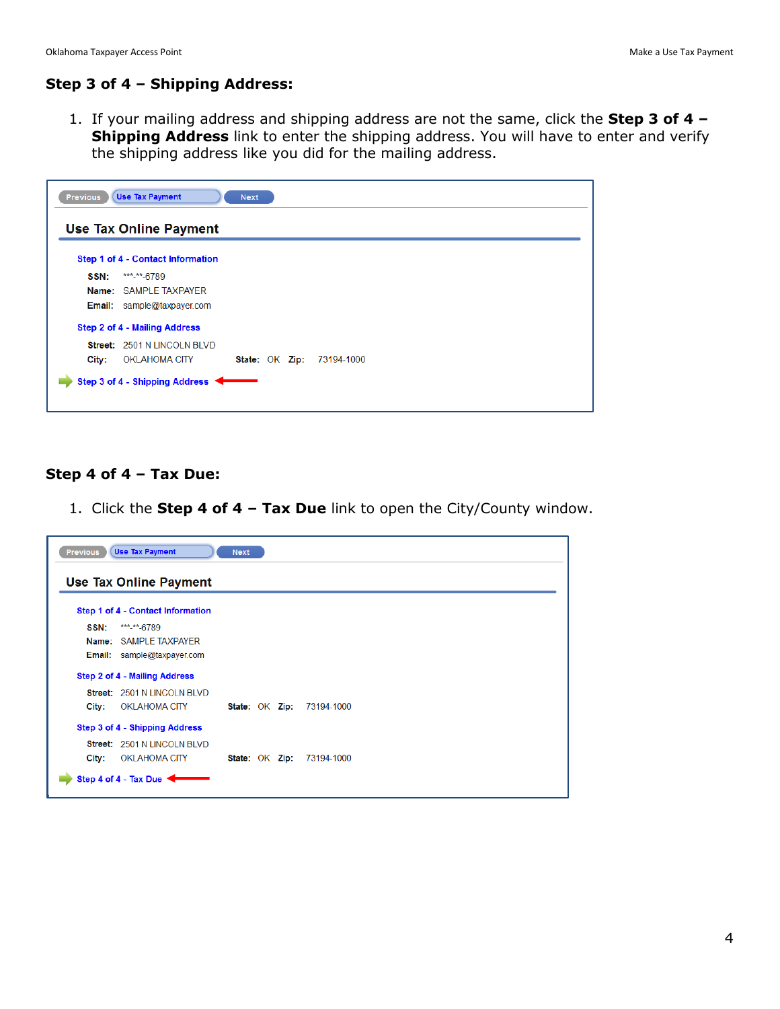## **Step 3 of 4 – Shipping Address:**

1. If your mailing address and shipping address are not the same, click the **Step 3 of 4 – Shipping Address** link to enter the shipping address. You will have to enter and verify the shipping address like you did for the mailing address.

| Previous | <b>Use Tax Payment</b>            | <b>Next</b> |                |            |  |  |
|----------|-----------------------------------|-------------|----------------|------------|--|--|
|          | Use Tax Online Payment            |             |                |            |  |  |
|          | Step 1 of 4 - Contact Information |             |                |            |  |  |
| SSN:     | *** <sub>-</sub> **-6789          |             |                |            |  |  |
|          | Name: SAMPLE TAXPAYER             |             |                |            |  |  |
|          | Email: sample@taxpayer.com        |             |                |            |  |  |
|          | Step 2 of 4 - Mailing Address     |             |                |            |  |  |
|          | Street: 2501 N LINCOLN BLVD       |             |                |            |  |  |
| City:    | OKLAHOMA CITY                     |             | State: OK Zip: | 73194-1000 |  |  |

#### **Step 4 of 4 – Tax Due:**

1. Click the **Step 4 of 4 – Tax Due** link to open the City/County window.

| <b>Previous</b> | <b>Use Tax Payment</b>            | <b>Next</b> |  |                                  |
|-----------------|-----------------------------------|-------------|--|----------------------------------|
|                 | <b>Use Tax Online Payment</b>     |             |  |                                  |
|                 | Step 1 of 4 - Contact Information |             |  |                                  |
| SSN:            | *** <sub>-</sub> **-6789          |             |  |                                  |
|                 | Name: SAMPLE TAXPAYER             |             |  |                                  |
|                 | <b>Email:</b> sample@taxpayer.com |             |  |                                  |
|                 | Step 2 of 4 - Mailing Address     |             |  |                                  |
|                 | Street: 2501 N LINCOLN BLVD       |             |  |                                  |
| City:           | <b>OKLAHOMA CITY</b>              |             |  | <b>State: OK Zip: 73194-1000</b> |
|                 | Step 3 of 4 - Shipping Address    |             |  |                                  |
|                 | Street: 2501 N LINCOLN BLVD       |             |  |                                  |
| City:           | OKLAHOMA CITY                     |             |  | <b>State: OK Zip: 73194-1000</b> |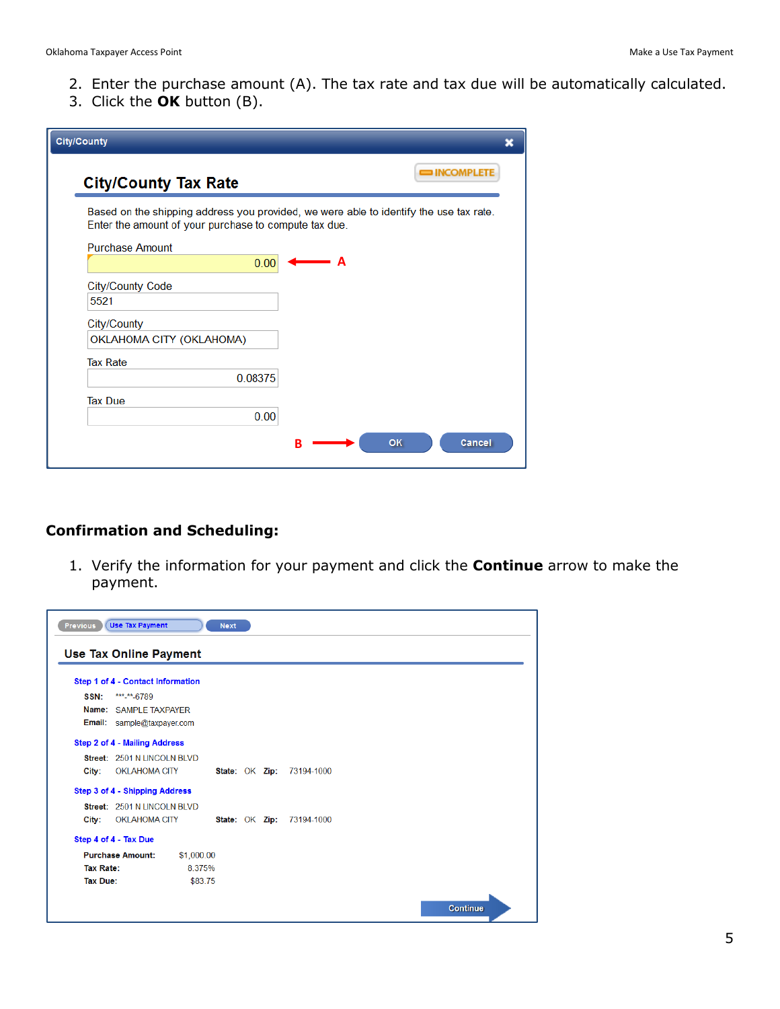- 2. Enter the purchase amount (A). The tax rate and tax due will be automatically calculated.
- 3. Click the **OK** button (B).

| <b>City/County</b>                                                                                                                              |
|-------------------------------------------------------------------------------------------------------------------------------------------------|
| <b>EXAMPLETE</b><br><b>City/County Tax Rate</b>                                                                                                 |
| Based on the shipping address you provided, we were able to identify the use tax rate.<br>Enter the amount of your purchase to compute tax due. |
| <b>Purchase Amount</b>                                                                                                                          |
| 0.00<br>A                                                                                                                                       |
| <b>City/County Code</b>                                                                                                                         |
| 5521                                                                                                                                            |
| City/County                                                                                                                                     |
| OKLAHOMA CITY (OKLAHOMA)                                                                                                                        |
| <b>Tax Rate</b>                                                                                                                                 |
| 0.08375                                                                                                                                         |
| <b>Tax Due</b>                                                                                                                                  |
| 0.00                                                                                                                                            |
| OK<br>Cancel                                                                                                                                    |
| в                                                                                                                                               |

## **Confirmation and Scheduling:**

1. Verify the information for your payment and click the **Continue** arrow to make the payment.